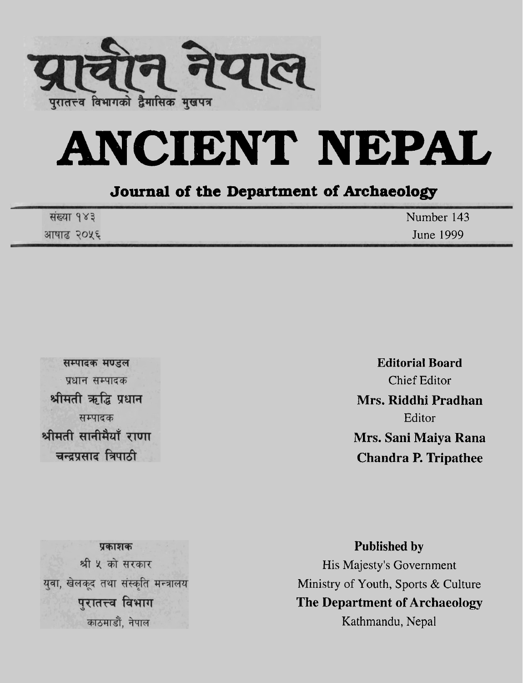

# **ANCIENT NEPAL**

#### **Journal of the Department of Archaeology**

| संख्या १४३ | Number 143 |
|------------|------------|
| आषाढ २०५६  | June 1999  |

सम्पादक मण्डल प्रधान सम्पादक श्रीमती ऋद्धि प्रधान सम्पादक श्रीमती सानीमैयाँ राणा चन्द्रप्रसाद त्रिपाठी

**Editorial Board**  Chief Editor **Mrs. Riddhi Pradhan**  Editor **Mrs. Sani Maiya Rana Chandra P. Tripathee** 

पकाशक श्री ५ को सरकार युवा, खेलकूद तथा संस्कृति मन्त्रालय पुरातत्त्व विभाग काठमाडौं, नेपाल

**Published by**  His Majesty's Government Ministry of Youth, Sports & Culture **The Department of Archaeology**  Kathmandu, Nepal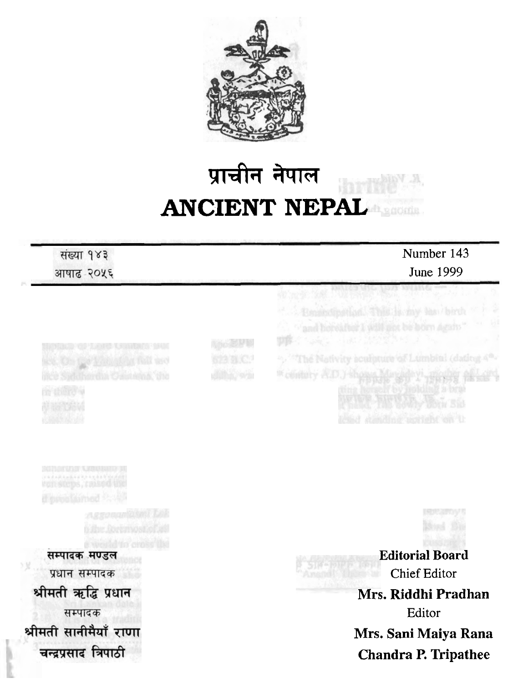

### प्राचीन नेपाल **ANCIENT NEPAL**

#### संख्या १४३

आषाढ-२०५६

#### Number 143 June 1999

**DOS! LORS CRIME DE SER** 

सम्पादक मण्डल प्रधान सम्पादक श्रीमती ऋद्धि प्रधान सम्पादक श्रीमती सानीमैयाँ राणा

चन्द्रप्रसाद त्रिपाठी

**前半**的运动员 <sup>W</sup>olatery A.D.) st

**Editorial Board**  Chief Editor **1~11-s. Riddhi Pradhan**  Editor **Mrs. Sani Maiya Rana** 

ua a my t

**Chandra P. Tripathee**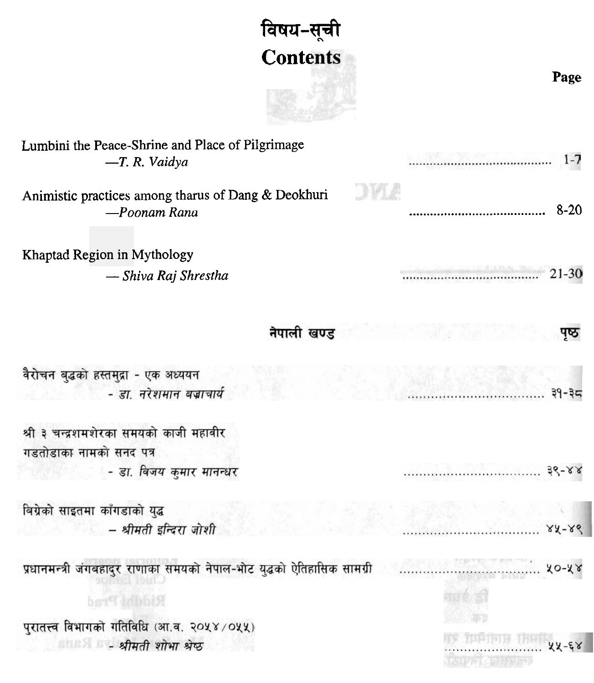## विषय-सूची **Contents**

**Page** 

| Lumbini the Peace-Shrine and Place of Pilgrimage<br>$-T. R. Vaidya$               |            |
|-----------------------------------------------------------------------------------|------------|
| <b>JAN</b><br>Animistic practices among tharus of Dang & Deokhuri<br>-Poonam Rana | $8-20$     |
| Khaptad Region in Mythology                                                       |            |
| — Shiva Raj Shrestha                                                              | $21 - 30$  |
| नेपाली खण्ड                                                                       | पृष्ठ      |
| वैरोचन बुद्धको हस्तमुद्रा - एक अध्ययन<br>- डा. नरेशमान बज्राचार्य                 | ३१-३८      |
| श्री ३ चन्द्रशमशेरका समयको काजी महावीर<br>गडतोडाका नामको सनद पत्र                 |            |
| - डा. विजय कुमार मानन्धर                                                          | $38 - 88$  |
| बिग्रेको साइतमा काँगडाको युद्ध                                                    |            |
| - श्रीमती इन्दिरा जोशी                                                            | $88 - 86$  |
| प्रधानमन्त्री जंगबहादुर राणाका समयको नेपाल-भोट युद्धको ऐतिहासिक सामग्री           | $ 20 - 28$ |
| Riddhi Prad                                                                       |            |
| पुरातत्त्व विभागको गतिविधि (आ.व. २०५४/०५५)                                        |            |
| ा श्रीमती शोभा श्रेष्ठ                                                            | $89 - 88$  |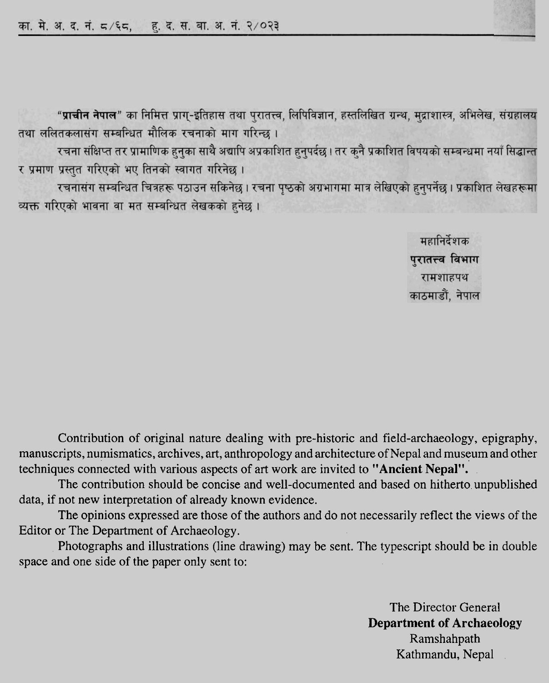

"प्राचीन नेपाल" का निमित्त प्राग्-इतिहास तथा पुरातत्त्व, लिपिविज्ञान, हस्तलिखित ग्रन्थ, मुद्राशास्त्र, अभिलेख, संग्रहालय तथा ललितकलासंग सम्बन्धित मौलिक रचनाको माग गरिन्छ ।

रचना संक्षिप्त तर प्रामाणिक हनुका साथै अद्यापि अप्रकाशित हनुपर्दछ । तर कनै प्रकाशित विषयको सम्बन्धमा नयाँ सिद्धान्त र प्रमाण प्रस्तुत गरिएको भए तिनको स्वागत गरिनेछ।

रचनासंग सम्बन्धित चित्रहरू पठाउन सकिनेछ । रचना पृष्ठको अग्रभागमा मात्र लेखिएको हुनुपर्नेछ । प्रकाशित लेखहरूमा व्यक्त गरिएको भावना वा मत सम्बन्धित लेखकको हनेछ।

> महानिर्देशक पुरातत्त्व विभाग रामशाहपथ काठमाडौं, नेपाल

Contribution of original nature dealing with pre-historic and field-archaeology, epigraphy, manuscripts, numismatics, archives, art, anthropology and architecture of Nepal and museum and other techniques connected with various aspects of art work are invited to **"Ancient Nepal".** 

The contribution should be concise and well-documented and based on hitherto unpublished data, if not new interpretation of already known evidence.

The opinions expressed are those of the authors and do not necessarily reflect the views of the Editor or The Department of Archaeology.

Photographs and illustrations (line drawing) may be sent. The typescript should be in double space and one side of the paper only sent to:

> The Director General **Department of Archaeology**  Ramshahpath Kathmandu, Nepal